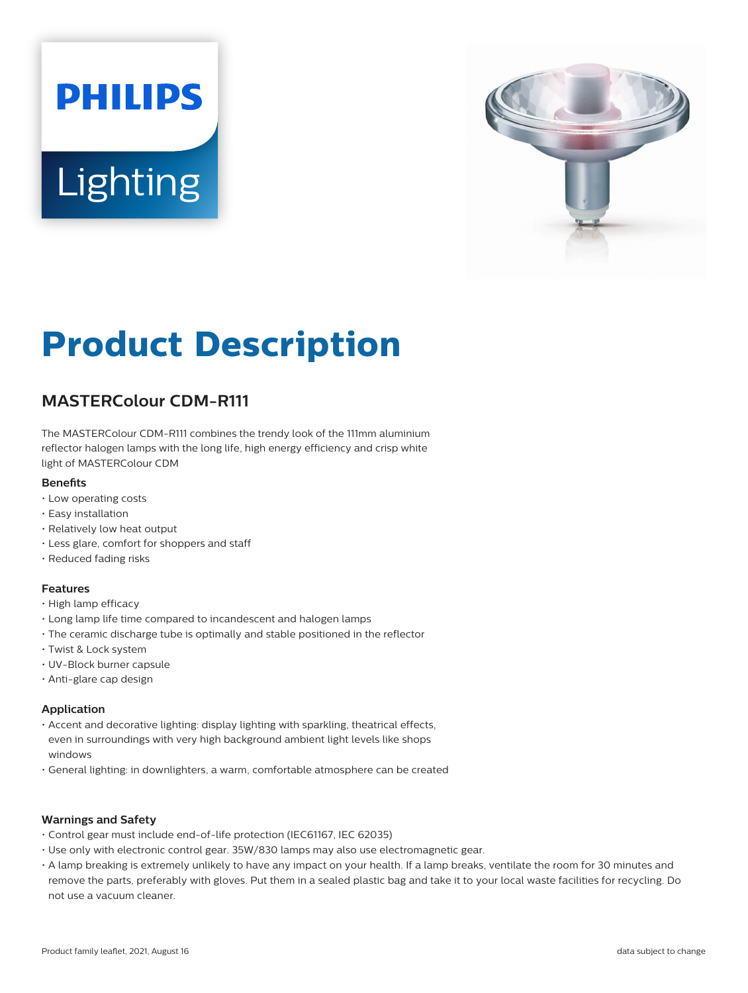# **PHILIPS Lighting**



# **Product Description**

# **MASTERColour CDM-R111**

The MASTERColour CDM-R111 combines the trendy look of the 111mm aluminium reflector halogen lamps with the long life, high energy efficiency and crisp white light of MASTERColour CDM

#### **Benets**

- Low operating costs
- Easy installation
- Relatively low heat output
- Less glare, comfort for shoppers and staff
- Reduced fading risks

#### **Features**

- High lamp efficacy
- Long lamp life time compared to incandescent and halogen lamps
- The ceramic discharge tube is optimally and stable positioned in the reflector
- Twist & Lock system
- UV-Block burner capsule
- Anti-glare cap design

#### **Application**

- Accent and decorative lighting: display lighting with sparkling, theatrical effects, even in surroundings with very high background ambient light levels like shops windows
- General lighting: in downlighters, a warm, comfortable atmosphere can be created

#### **Warnings and Safety**

- Control gear must include end-of-life protection (IEC61167, IEC 62035)
- Use only with electronic control gear. 35W/830 lamps may also use electromagnetic gear.
- A lamp breaking is extremely unlikely to have any impact on your health. If a lamp breaks, ventilate the room for 30 minutes and remove the parts, preferably with gloves. Put them in a sealed plastic bag and take it to your local waste facilities for recycling. Do not use a vacuum cleaner.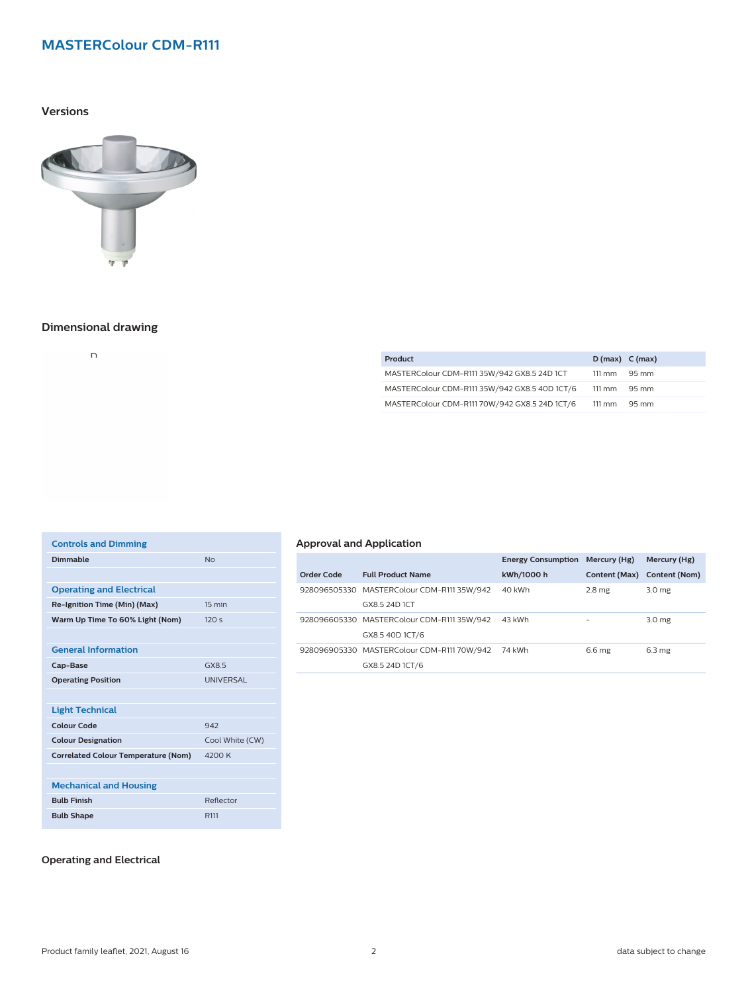# **MASTERColour CDM-R111**

**Versions**



## **Dimensional drawing**

 $\overline{D}$ 

| Product                                       | $D(max)$ C (max)       |       |
|-----------------------------------------------|------------------------|-------|
| MASTERColour CDM-R111 35W/942 GX8.5 24D 1CT   | $111 \text{ mm}$       | 95 mm |
| MASTERColour CDM-R111 35W/942 GX8.5 40D 1CT/6 | $111 \text{ mm}$ 95 mm |       |
| MASTERColour CDM-R111 70W/942 GX8.5 24D 1CT/6 | $111 \text{ mm}$ 95 mm |       |

| <b>Controls and Dimming</b>                |                  |
|--------------------------------------------|------------------|
| <b>Dimmable</b>                            | No               |
|                                            |                  |
| <b>Operating and Electrical</b>            |                  |
| Re-Ignition Time (Min) (Max)               | 15 min           |
| Warm Up Time To 60% Light (Nom)            | 120s             |
|                                            |                  |
| <b>General Information</b>                 |                  |
| Cap-Base                                   | GX85             |
| <b>Operating Position</b>                  | <b>UNIVERSAL</b> |
|                                            |                  |
| <b>Light Technical</b>                     |                  |
| <b>Colour Code</b>                         | 942              |
| <b>Colour Designation</b>                  | Cool White (CW)  |
| <b>Correlated Colour Temperature (Nom)</b> | 4200 K           |
|                                            |                  |
| <b>Mechanical and Housing</b>              |                  |
| <b>Bulb Finish</b>                         | Reflector        |
| <b>Bulb Shape</b>                          | R <sub>111</sub> |
|                                            |                  |

### **Approval and Application**

|            |                                            | <b>Energy Consumption</b> | Mercury (Hg)      | Mercury (Hg)                |
|------------|--------------------------------------------|---------------------------|-------------------|-----------------------------|
| Order Code | <b>Full Product Name</b>                   | kWh/1000 h                |                   | Content (Max) Content (Nom) |
|            | 928096505330 MASTERColour CDM-R111 35W/942 | 40 kWh                    | 2.8 <sub>mg</sub> | 3.0 <sub>mg</sub>           |
|            | GX8.5 24D 1CT                              |                           |                   |                             |
|            | 928096605330 MASTERColour CDM-R111 35W/942 | 43 kWh                    |                   | 3.0 <sub>mg</sub>           |
|            | GX8.5 40D 1CT/6                            |                           |                   |                             |
|            | 928096905330 MASTERColour CDM-R111 70W/942 | 74 kWh                    | 6.6 <sub>mg</sub> | 6.3 <sub>mg</sub>           |
|            | GX8.5 24D 1CT/6                            |                           |                   |                             |

#### **Operating and Electrical**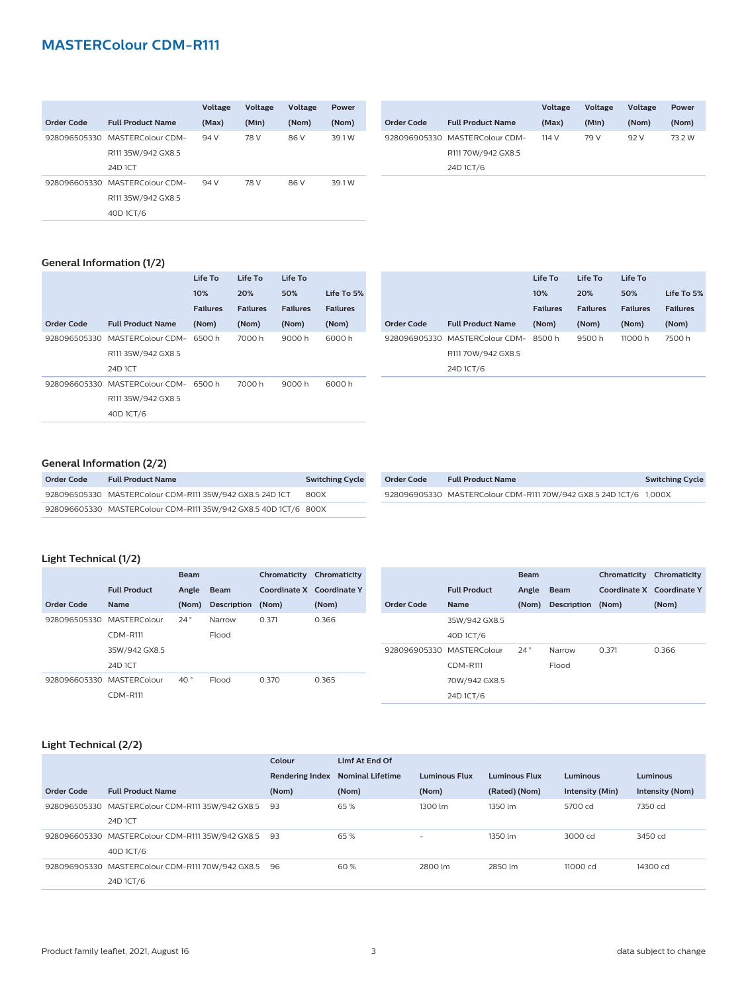# **MASTERColour CDM-R111**

|              |                                | Voltage | <b>Voltage</b> | <b>Voltage</b> | Power  |
|--------------|--------------------------------|---------|----------------|----------------|--------|
| Order Code   | <b>Full Product Name</b>       | (Max)   | (Min)          | (Nom)          | (Nom)  |
| 928096505330 | MASTERColour CDM-              | 94 V    | 78 V           | 86 V           | 39.1 W |
|              | R111 35W/942 GX8.5             |         |                |                |        |
|              | 24D 1CT                        |         |                |                |        |
|              | 928096605330 MASTERColour CDM- | 94 V    | 78 V           | 86 V           | 39.1 W |
|              | R111 35W/942 GX8.5             |         |                |                |        |
|              | 40D 1CT/6                      |         |                |                |        |

|            |                                | <b>Voltage</b> | <b>Voltage</b> | <b>Voltage</b> | Power  |
|------------|--------------------------------|----------------|----------------|----------------|--------|
| Order Code | <b>Full Product Name</b>       | (Max)          | (Min)          | (Nom)          | (Nom)  |
|            | 928096905330 MASTERColour CDM- | 114 V          | 79 V           | 92 V           | 73 2 W |
|            | R111 70W/942 GX8.5             |                |                |                |        |
|            | 24D 1CT/6                      |                |                |                |        |

#### **General Information (1/2)**

|            |                                       | Life To         | Life To         | Life To         |                 |              |                   |
|------------|---------------------------------------|-----------------|-----------------|-----------------|-----------------|--------------|-------------------|
|            |                                       | 10%             | 20%             | 50%             | Life To 5%      |              |                   |
|            |                                       | <b>Failures</b> | <b>Failures</b> | <b>Failures</b> | <b>Failures</b> |              |                   |
| Order Code | <b>Full Product Name</b>              | (Nom)           | (Nom)           | (Nom)           | (Nom)           | Order Code   | <b>Full Produ</b> |
|            | 928096505330 MASTERColour CDM-        | 6500 h          | 7000 h          | 9000 h          | 6000 h          | 928096905330 | <b>MASTERC</b>    |
|            | R111 35W/942 GX8.5                    |                 |                 |                 |                 |              | R111 70W/9        |
|            | 24D 1CT                               |                 |                 |                 |                 |              | 24D 1CT/6         |
|            | 928096605330 MASTERColour CDM- 6500 h |                 | 7000 h          | 9000 h          | 6000 h          |              |                   |
|            | R111 35W/942 GX8.5                    |                 |                 |                 |                 |              |                   |
|            | 40D 1CT/6                             |                 |                 |                 |                 |              |                   |
|            |                                       |                 |                 |                 |                 |              |                   |

|            |                                | Life To         | Life To         | Life To         |                 |
|------------|--------------------------------|-----------------|-----------------|-----------------|-----------------|
|            |                                | 10%             | 20%             | 50%             | Life To 5%      |
|            |                                | <b>Failures</b> | <b>Failures</b> | <b>Failures</b> | <b>Failures</b> |
| Order Code | <b>Full Product Name</b>       | (Nom)           | (Nom)           | (Nom)           | (Nom)           |
|            | 928096905330 MASTERColour CDM- | 8500 h          | 9500 h          | 11000 h         | 7500 h          |
|            | R111 70W/942 GX8.5             |                 |                 |                 |                 |
|            | 24D 1CT/6                      |                 |                 |                 |                 |

#### **General Information (2/2)**

| Order Code | <b>Full Product Name</b>                                        | <b>Switching Cycle</b> |
|------------|-----------------------------------------------------------------|------------------------|
|            | 928096505330 MASTERColour CDM-R111 35W/942 GX8.5 24D 1CT        | 800X                   |
|            | 928096605330 MASTERColour CDM-R111 35W/942 GX8.5 40D 1CT/6 800X |                        |

| Order Code | <b>Full Product Name</b>                                          | <b>Switching Cycle</b> |
|------------|-------------------------------------------------------------------|------------------------|
|            | 928096905330 MASTERColour CDM-R111 70W/942 GX8.5 24D 1CT/6 1.000X |                        |

#### **Light Technical (1/2)**

|                   | <b>Beam</b>         |              | Chromaticity<br>Chromaticity |                           |       |  | <b>Beam</b>               |                     | Chromaticity | Chromaticity       |                           |       |
|-------------------|---------------------|--------------|------------------------------|---------------------------|-------|--|---------------------------|---------------------|--------------|--------------------|---------------------------|-------|
|                   | <b>Full Product</b> | Angle        | Beam                         | Coordinate X Coordinate Y |       |  |                           | <b>Full Product</b> | Angle        | <b>Beam</b>        | Coordinate X Coordinate Y |       |
| <b>Order Code</b> | <b>Name</b>         | (Nom)        | Description                  | (Nom)                     | (Nom) |  | Order Code                | <b>Name</b>         | (Nom)        | <b>Description</b> | (Nom)                     | (Nom) |
| 928096505330      | MASTERColour        | $24^{\circ}$ | Narrow                       | 0.371                     | 0.366 |  |                           | 35W/942 GX8.5       |              |                    |                           |       |
|                   | $CDM-$ R111         |              | Flood                        |                           |       |  |                           | 40D 1CT/6           |              |                    |                           |       |
|                   | 35W/942 GX8.5       |              |                              |                           |       |  | 928096905330 MASTERColour |                     | $24^{\circ}$ | Narrow             | 0.371                     | 0.366 |
|                   | 24D 1CT             |              |                              |                           |       |  |                           | <b>CDM-R111</b>     |              | Flood              |                           |       |
| 928096605330      | MASTERColour        | 40°          | Flood                        | 0.370                     | 0.365 |  |                           | 70W/942 GX8.5       |              |                    |                           |       |
|                   | <b>CDM-R111</b>     |              |                              |                           |       |  |                           | 24D 1CT/6           |              |                    |                           |       |

#### **Light Technical (2/2)**

|            |                                                  | Colour                 | Limf At End Of          |                          |                      |                 |                 |
|------------|--------------------------------------------------|------------------------|-------------------------|--------------------------|----------------------|-----------------|-----------------|
|            |                                                  | <b>Rendering Index</b> | <b>Nominal Lifetime</b> | <b>Luminous Flux</b>     | <b>Luminous Flux</b> | Luminous        | <b>Luminous</b> |
| Order Code | <b>Full Product Name</b>                         | (Nom)                  | (Nom)                   | (Nom)                    | (Rated) (Nom)        | Intensity (Min) | Intensity (Nom) |
|            | 928096505330 MASTERColour CDM-R111 35W/942 GX8.5 | 93                     | 65%                     | 1300 lm                  | 1350 lm              | 5700 cd         | 7350 cd         |
|            | 24D 1CT                                          |                        |                         |                          |                      |                 |                 |
|            | 928096605330 MASTERColour CDM-R111 35W/942 GX8.5 | -93                    | 65%                     | $\overline{\phantom{a}}$ | 1350 lm              | 3000 cd         | 3450 cd         |
|            | 40D 1CT/6                                        |                        |                         |                          |                      |                 |                 |
|            | 928096905330 MASTERColour CDM-R111 70W/942 GX8.5 | 96                     | 60%                     | 2800 lm                  | 2850 lm              | 11000 cd        | 14300 cd        |
|            | 24D 1CT/6                                        |                        |                         |                          |                      |                 |                 |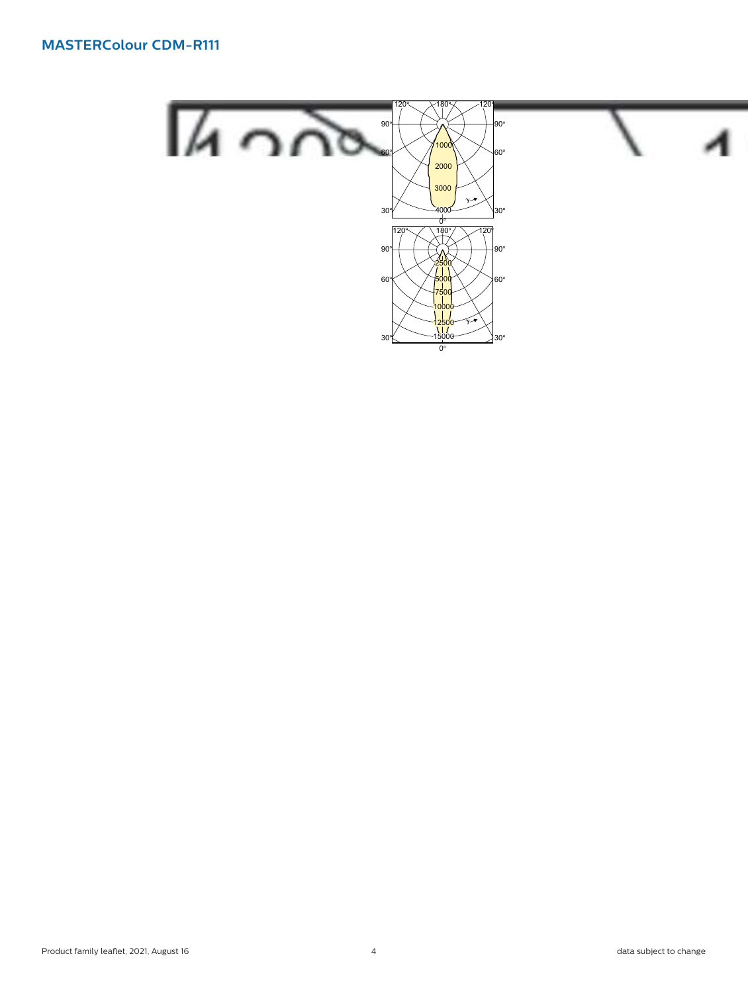